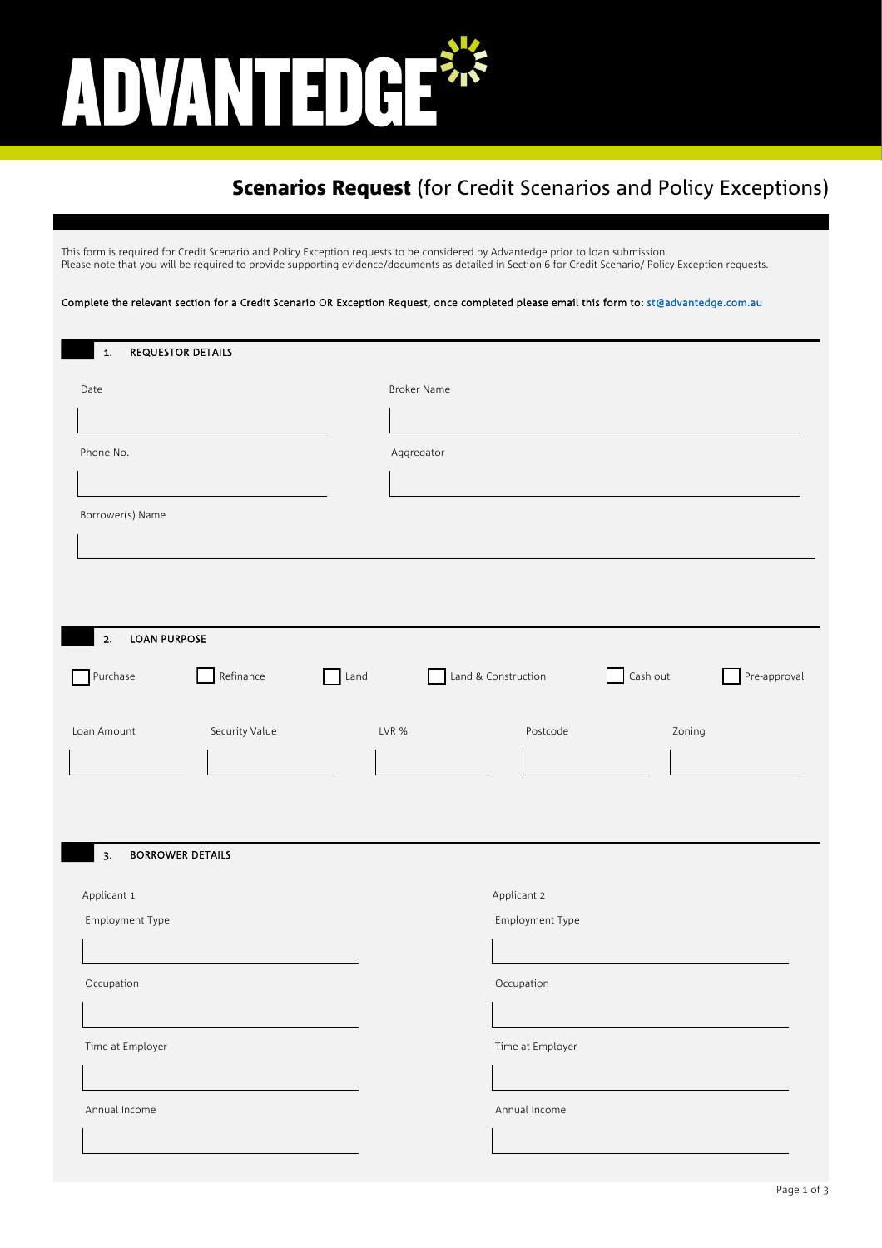# ADVANTEDGE

## **Scenarios Request** (for Credit Scenarios and Policy Exceptions)

This form is required for Credit Scenario and Policy Exception requests to be considered by Advantedge prior to loan submission. Please note that you will be required to provide supporting evidence/documents as detailed in Section 6 for Credit Scenario/ Policy Exception requests.

Complete the relevant section for a Credit Scenario OR Exception Request, once completed please email this form to: st@advantedge.com.au

| 1.                  | <b>REQUESTOR DETAILS</b> |      |                    |                     |          |        |              |
|---------------------|--------------------------|------|--------------------|---------------------|----------|--------|--------------|
| Date                |                          |      | <b>Broker Name</b> |                     |          |        |              |
|                     |                          |      |                    |                     |          |        |              |
|                     |                          |      |                    |                     |          |        |              |
| Phone No.           |                          |      | Aggregator         |                     |          |        |              |
|                     |                          |      |                    |                     |          |        |              |
| Borrower(s) Name    |                          |      |                    |                     |          |        |              |
|                     |                          |      |                    |                     |          |        |              |
|                     |                          |      |                    |                     |          |        |              |
|                     |                          |      |                    |                     |          |        |              |
| <b>LOAN PURPOSE</b> |                          |      |                    |                     |          |        |              |
| 2.                  |                          |      |                    |                     |          |        |              |
| Purchase            | Refinance                | Land |                    | Land & Construction | Cash out |        | Pre-approval |
|                     |                          |      |                    |                     |          |        |              |
| Loan Amount         | Security Value           |      | LVR %              | Postcode            |          | Zoning |              |
|                     |                          |      |                    |                     |          |        |              |
|                     |                          |      |                    |                     |          |        |              |
|                     |                          |      |                    |                     |          |        |              |
| 3.                  | <b>BORROWER DETAILS</b>  |      |                    |                     |          |        |              |
|                     |                          |      |                    |                     |          |        |              |
| Applicant 1         |                          |      |                    | Applicant 2         |          |        |              |
| Employment Type     |                          |      |                    | Employment Type     |          |        |              |
|                     |                          |      |                    |                     |          |        |              |
| Occupation          |                          |      |                    | Occupation          |          |        |              |
|                     |                          |      |                    |                     |          |        |              |
|                     |                          |      |                    |                     |          |        |              |
| Time at Employer    |                          |      |                    | Time at Employer    |          |        |              |
|                     |                          |      |                    |                     |          |        |              |
| Annual Income       |                          |      |                    | Annual Income       |          |        |              |
|                     |                          |      |                    |                     |          |        |              |
|                     |                          |      |                    |                     |          |        |              |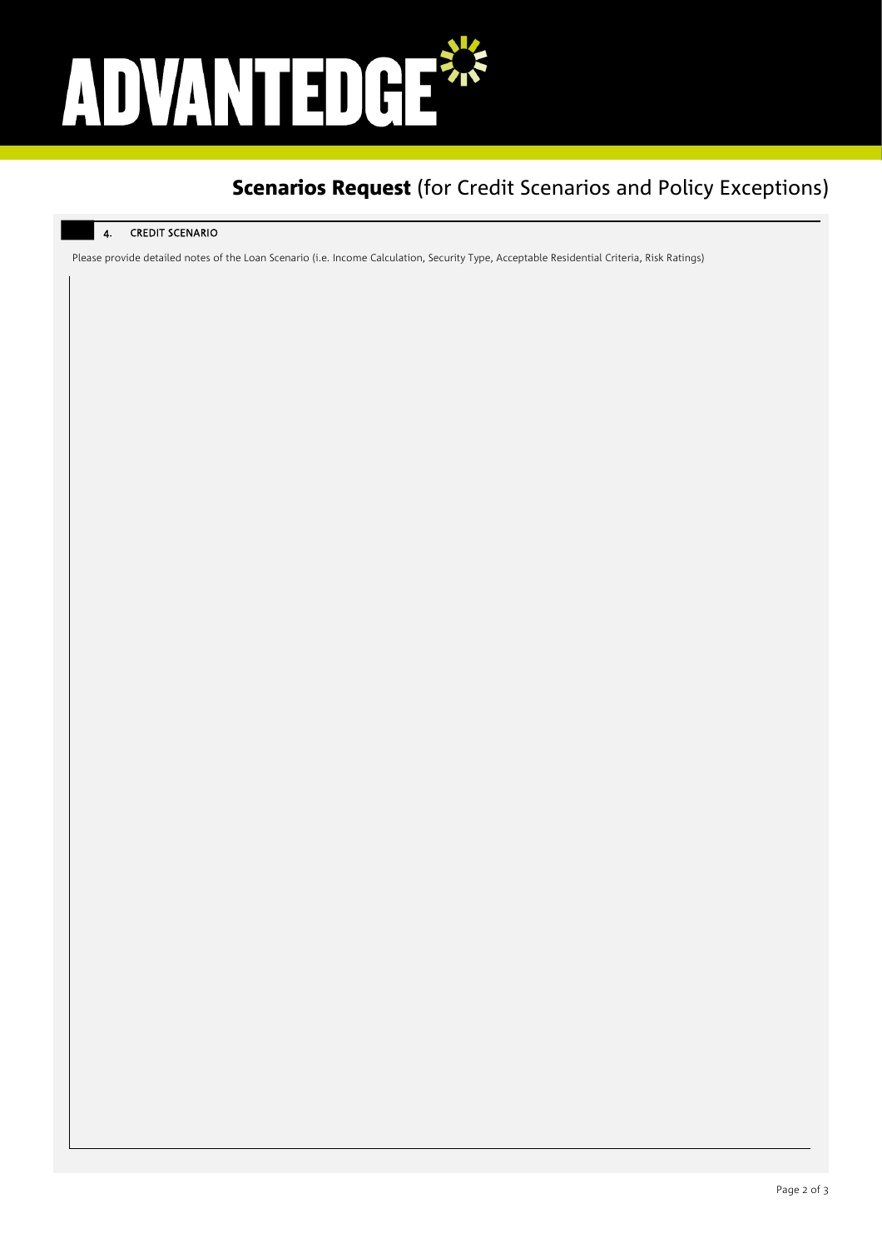# ADVANTED GE\*

## **Scenarios Request** (for Credit Scenarios and Policy Exceptions)

### 4. CREDIT SCENARIO

Please provide detailed notes of the Loan Scenario (i.e. Income Calculation, Security Type, Acceptable Residential Criteria, Risk Ratings)